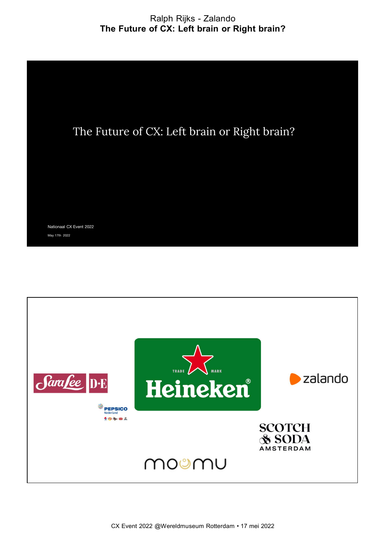# Ralph Rijks - Zalando The Future of CX: Left brain or Right brain?



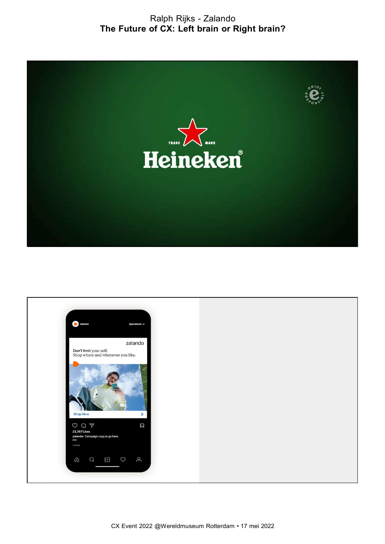Ralph Rijks - Zalando The Future of CX: Left brain or Right brain?



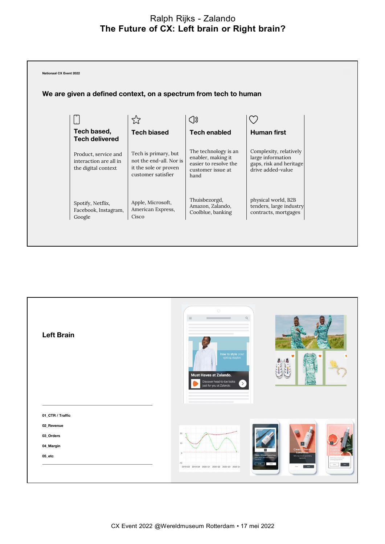## The Future of CX: Left brain or Right brain?



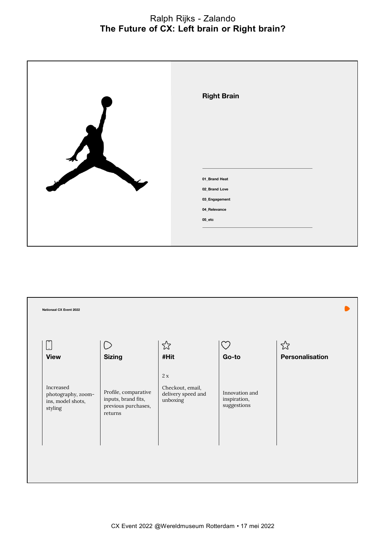# Ralph Rijks - Zalando<br>of CX: Left brain or Right brain?<br>———————————————————— The Future of CX: Left brain or Right brain?

| <b>Right Brain</b>                                                           |
|------------------------------------------------------------------------------|
| 01_Brand Heat<br>02_Brand Love<br>03_Engagement<br>04_Relevance<br>$05$ _etc |

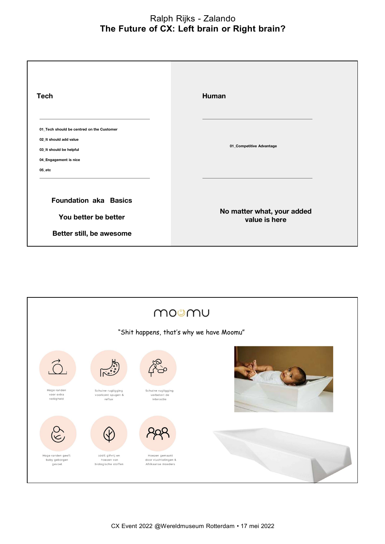# Ralph Rijks - Zalando<br>of CX: Left brain or Right brain?<br>———————————————————— The Future of CX: Left brain or Right brain?

| <b>Tech</b>                                                                                                                       | Human                                       |
|-----------------------------------------------------------------------------------------------------------------------------------|---------------------------------------------|
| 01 Tech should be centred on the Customer<br>02 It should add value<br>03_It should be helpful<br>04_Engagement is nice<br>05 etc | 01_Competitive Advantage                    |
| <b>Foundation aka Basics</b><br>You better be better<br>Better still, be awesome                                                  | No matter what, your added<br>value is here |

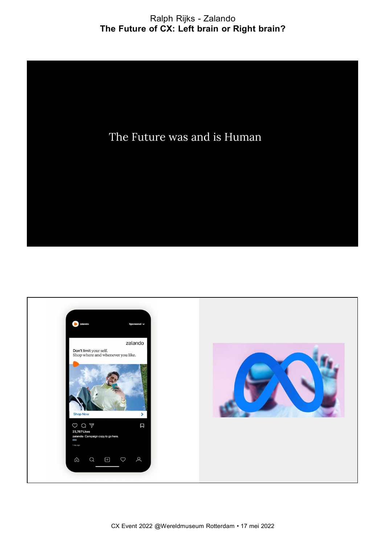# Ralph Rijks - Zalando Ralph Rijks - Zalando<br>The Future of CX: Left brain or Right brain?